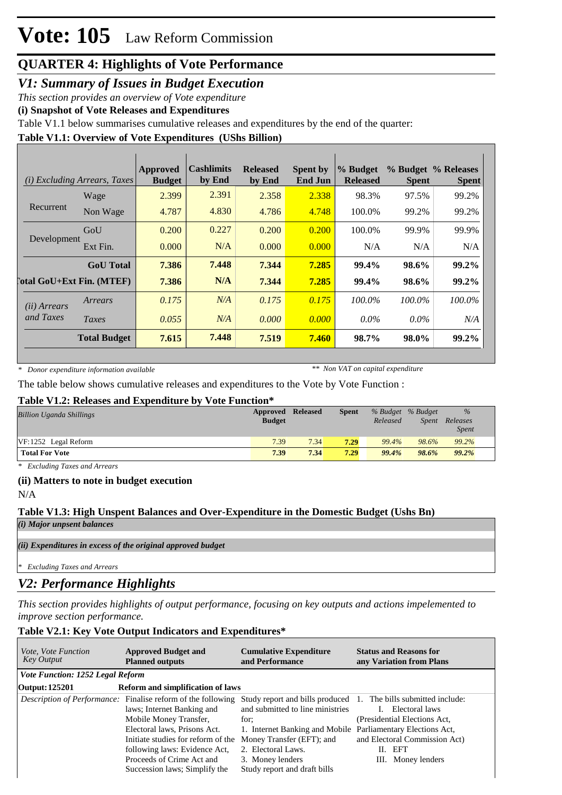# **QUARTER 4: Highlights of Vote Performance**

### *V1: Summary of Issues in Budget Execution*

*This section provides an overview of Vote expenditure*

**(i) Snapshot of Vote Releases and Expenditures**

Table V1.1 below summarises cumulative releases and expenditures by the end of the quarter:

#### **Table V1.1: Overview of Vote Expenditures (UShs Billion)**

| (i)                   | <i>Excluding Arrears, Taxes</i>  | Approved<br><b>Budget</b> | <b>Cashlimits</b><br>by End | <b>Released</b><br>by End | <b>Spent by</b><br><b>End Jun</b> | % Budget<br><b>Released</b> | <b>Spent</b> | % Budget % Releases<br><b>Spent</b> |
|-----------------------|----------------------------------|---------------------------|-----------------------------|---------------------------|-----------------------------------|-----------------------------|--------------|-------------------------------------|
|                       | Wage                             | 2.399                     | 2.391                       | 2.358                     | 2.338                             | 98.3%                       | 97.5%        | 99.2%                               |
| Recurrent             | Non Wage                         | 4.787                     | 4.830                       | 4.786                     | 4.748                             | 100.0%                      | 99.2%        | 99.2%                               |
| Development           | GoU                              | 0.200                     | 0.227                       | 0.200                     | 0.200                             | 100.0%                      | 99.9%        | 99.9%                               |
|                       | Ext Fin.                         | 0.000                     | N/A                         | 0.000                     | 0.000                             | N/A                         | N/A          | N/A                                 |
|                       | <b>GoU</b> Total                 | 7.386                     | 7.448                       | 7.344                     | 7.285                             | 99.4%                       | 98.6%        | 99.2%                               |
|                       | <b>Total GoU+Ext Fin. (MTEF)</b> | 7.386                     | N/A                         | 7.344                     | 7.285                             | 99.4%                       | 98.6%        | 99.2%                               |
| ( <i>ii</i> ) Arrears | Arrears                          | 0.175                     | N/A                         | 0.175                     | 0.175                             | $100.0\%$                   | $100.0\%$    | 100.0%                              |
| and Taxes             | Taxes                            | 0.055                     | N/A                         | 0.000                     | 0.000                             | $0.0\%$                     | $0.0\%$      | N/A                                 |
|                       | <b>Total Budget</b>              | 7.615                     | 7.448                       | 7.519                     | 7.460                             | 98.7%                       | 98.0%        | 99.2%                               |

*\* Donor expenditure information available*

*\*\* Non VAT on capital expenditure*

The table below shows cumulative releases and expenditures to the Vote by Vote Function :

#### **Table V1.2: Releases and Expenditure by Vote Function\***

| <b>Billion Uganda Shillings</b> | <b>Approved Released</b><br><b>Budget</b> |      | <b>Spent</b> | Released | % Budget % Budget<br><b>Spent</b> | $\%$<br>Releases<br><i>Spent</i> |
|---------------------------------|-------------------------------------------|------|--------------|----------|-----------------------------------|----------------------------------|
| $VF: 1252$ Legal Reform         | 7.39                                      | 7.34 | 7.29         | 99.4%    | 98.6%                             | 99.2%                            |
| <b>Total For Vote</b>           | 7.39                                      | 7.34 | 7.29         | 99.4%    | 98.6%                             | 99.2%                            |

*\* Excluding Taxes and Arrears*

#### **(ii) Matters to note in budget execution**

N/A

### **Table V1.3: High Unspent Balances and Over-Expenditure in the Domestic Budget (Ushs Bn)**

*(i) Major unpsent balances*

*(ii) Expenditures in excess of the original approved budget*

*\* Excluding Taxes and Arrears*

# *V2: Performance Highlights*

*This section provides highlights of output performance, focusing on key outputs and actions impelemented to improve section performance.*

### **Table V2.1: Key Vote Output Indicators and Expenditures\***

| <i>Vote, Vote Function</i><br><b>Key Output</b> | <b>Approved Budget and</b><br><b>Planned outputs</b>                                                                                                                                                                                                                                             | <b>Cumulative Expenditure</b><br>and Performance                                                                                                                                                                                                                                  | <b>Status and Reasons for</b><br>any Variation from Plans                                                        |
|-------------------------------------------------|--------------------------------------------------------------------------------------------------------------------------------------------------------------------------------------------------------------------------------------------------------------------------------------------------|-----------------------------------------------------------------------------------------------------------------------------------------------------------------------------------------------------------------------------------------------------------------------------------|------------------------------------------------------------------------------------------------------------------|
| <b>Vote Function: 1252 Legal Reform</b>         |                                                                                                                                                                                                                                                                                                  |                                                                                                                                                                                                                                                                                   |                                                                                                                  |
| Output: 125201                                  | <b>Reform and simplification of laws</b>                                                                                                                                                                                                                                                         |                                                                                                                                                                                                                                                                                   |                                                                                                                  |
|                                                 | <i>Description of Performance:</i> Finalise reform of the following<br>laws; Internet Banking and<br>Mobile Money Transfer,<br>Electoral laws, Prisons Act.<br>Initiate studies for reform of the<br>following laws: Evidence Act,<br>Proceeds of Crime Act and<br>Succession laws; Simplify the | Study report and bills produced 1. The bills submitted include:<br>and submitted to line ministries<br>for:<br>1. Internet Banking and Mobile Parliamentary Elections Act,<br>Money Transfer (EFT); and<br>2. Electoral Laws.<br>3. Money lenders<br>Study report and draft bills | Electoral laws<br>(Presidential Elections Act,<br>and Electoral Commission Act)<br>II. EFT<br>III. Money lenders |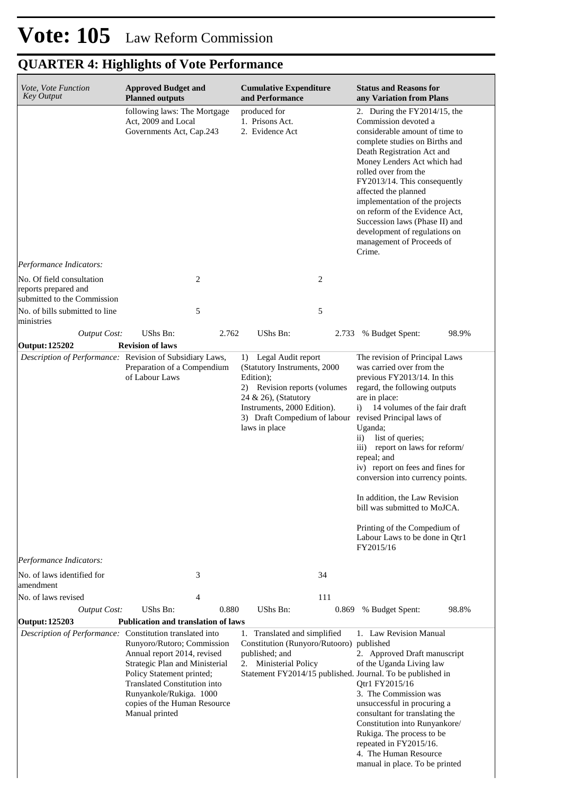# **Vote: 105** Law Reform Commission

# **QUARTER 4: Highlights of Vote Performance**

| Vote, Vote Function<br><b>Key Output</b>                                            | <b>Cumulative Expenditure</b><br><b>Approved Budget and</b><br><b>Planned outputs</b><br>and Performance                                                                                                                                     |       |                                                                                                                                                                               | <b>Status and Reasons for</b><br>any Variation from Plans |                                                                                                                                                                                                                                                                                                                                                                                                                                                                                                                                                                    |       |  |
|-------------------------------------------------------------------------------------|----------------------------------------------------------------------------------------------------------------------------------------------------------------------------------------------------------------------------------------------|-------|-------------------------------------------------------------------------------------------------------------------------------------------------------------------------------|-----------------------------------------------------------|--------------------------------------------------------------------------------------------------------------------------------------------------------------------------------------------------------------------------------------------------------------------------------------------------------------------------------------------------------------------------------------------------------------------------------------------------------------------------------------------------------------------------------------------------------------------|-------|--|
|                                                                                     | following laws: The Mortgage<br>Act, 2009 and Local<br>Governments Act, Cap.243                                                                                                                                                              |       | produced for<br>1. Prisons Act.<br>2. Evidence Act                                                                                                                            |                                                           | 2. During the $FY2014/15$ , the<br>Commission devoted a<br>considerable amount of time to<br>complete studies on Births and<br>Death Registration Act and<br>Money Lenders Act which had<br>rolled over from the<br>FY2013/14. This consequently<br>affected the planned<br>implementation of the projects<br>on reform of the Evidence Act.<br>Succession laws (Phase II) and<br>development of regulations on<br>management of Proceeds of<br>Crime.                                                                                                             |       |  |
| Performance Indicators:                                                             |                                                                                                                                                                                                                                              |       |                                                                                                                                                                               |                                                           |                                                                                                                                                                                                                                                                                                                                                                                                                                                                                                                                                                    |       |  |
| No. Of field consultation<br>reports prepared and<br>submitted to the Commission    | 2                                                                                                                                                                                                                                            |       |                                                                                                                                                                               | $\overline{c}$                                            |                                                                                                                                                                                                                                                                                                                                                                                                                                                                                                                                                                    |       |  |
| No. of bills submitted to line<br>ministries                                        | 5                                                                                                                                                                                                                                            |       |                                                                                                                                                                               | 5                                                         |                                                                                                                                                                                                                                                                                                                                                                                                                                                                                                                                                                    |       |  |
| <b>Output Cost:</b><br><b>Output: 125202</b>                                        | UShs Bn:<br><b>Revision of laws</b>                                                                                                                                                                                                          | 2.762 | UShs Bn:                                                                                                                                                                      | 2.733                                                     | % Budget Spent:                                                                                                                                                                                                                                                                                                                                                                                                                                                                                                                                                    | 98.9% |  |
| Description of Performance: Revision of Subsidiary Laws,<br>Performance Indicators: | Preparation of a Compendium<br>of Labour Laws                                                                                                                                                                                                |       | Legal Audit report<br>1)<br>(Statutory Instruments, 2000<br>Edition);<br>2) Revision reports (volumes<br>24 & 26), (Statutory<br>Instruments, 2000 Edition).<br>laws in place |                                                           | The revision of Principal Laws<br>was carried over from the<br>previous FY2013/14. In this<br>regard, the following outputs<br>are in place:<br>14 volumes of the fair draft<br>i)<br>3) Draft Compedium of labour revised Principal laws of<br>Uganda;<br>list of queries;<br>$\rm ii)$<br>iii) report on laws for reform/<br>repeal; and<br>iv) report on fees and fines for<br>conversion into currency points.<br>In addition, the Law Revision<br>bill was submitted to MoJCA.<br>Printing of the Compedium of<br>Labour Laws to be done in Qtr1<br>FY2015/16 |       |  |
| No. of laws identified for                                                          | 3                                                                                                                                                                                                                                            |       |                                                                                                                                                                               | 34                                                        |                                                                                                                                                                                                                                                                                                                                                                                                                                                                                                                                                                    |       |  |
| amendment<br>No. of laws revised                                                    | 4                                                                                                                                                                                                                                            |       |                                                                                                                                                                               | 111                                                       |                                                                                                                                                                                                                                                                                                                                                                                                                                                                                                                                                                    |       |  |
| <b>Output Cost:</b>                                                                 | UShs Bn:                                                                                                                                                                                                                                     | 0.880 | UShs Bn:                                                                                                                                                                      | 0.869                                                     | % Budget Spent:                                                                                                                                                                                                                                                                                                                                                                                                                                                                                                                                                    | 98.8% |  |
| Output: 125203                                                                      | <b>Publication and translation of laws</b>                                                                                                                                                                                                   |       |                                                                                                                                                                               |                                                           |                                                                                                                                                                                                                                                                                                                                                                                                                                                                                                                                                                    |       |  |
| Description of Performance: Constitution translated into                            | Runyoro/Rutoro; Commission<br>Annual report 2014, revised<br>Strategic Plan and Ministerial<br>Policy Statement printed;<br><b>Translated Constitution into</b><br>Runyankole/Rukiga. 1000<br>copies of the Human Resource<br>Manual printed |       | 1. Translated and simplified<br>Constitution (Runyoro/Rutooro) published<br>published; and<br>Ministerial Policy<br>2.                                                        |                                                           | 1. Law Revision Manual<br>2. Approved Draft manuscript<br>of the Uganda Living law<br>Statement FY2014/15 published. Journal. To be published in<br>Qtr1 FY2015/16<br>3. The Commission was<br>unsuccessful in procuring a<br>consultant for translating the<br>Constitution into Runyankore/<br>Rukiga. The process to be<br>repeated in FY2015/16.<br>4. The Human Resource<br>manual in place. To be printed                                                                                                                                                    |       |  |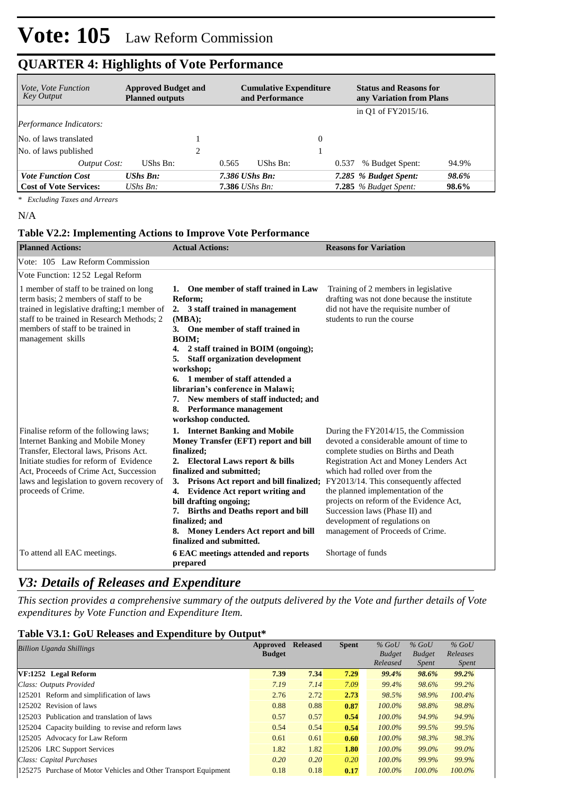## **QUARTER 4: Highlights of Vote Performance**

| <i>Vote, Vote Function</i><br><b>Key Output</b> | <b>Approved Budget and</b><br><b>Planned outputs</b> | <b>Cumulative Expenditure</b><br>and Performance | <b>Status and Reasons for</b><br>any Variation from Plans |
|-------------------------------------------------|------------------------------------------------------|--------------------------------------------------|-----------------------------------------------------------|
|                                                 |                                                      |                                                  | in Q1 of FY2015/16.                                       |
| Performance Indicators:                         |                                                      |                                                  |                                                           |
| No. of laws translated                          |                                                      | $\Omega$                                         |                                                           |
| No. of laws published                           | 2                                                    |                                                  |                                                           |
| Output Cost:                                    | UShs Bn:                                             | UShs Bn:<br>0.565                                | % Budget Spent:<br>94.9%<br>0.537                         |
| <b>Vote Function Cost</b>                       | $UShs$ $Bn$ :                                        | 7.386 UShs Bn:                                   | 7.285 % Budget Spent:<br>98.6%                            |
| <b>Cost of Vote Services:</b>                   | $\mathit{UShs}\, \mathit{Bn}$ :                      | <b>7.386</b> UShs Bn:                            | <b>7.285</b> % Budget Spent:<br>98.6%                     |

*\* Excluding Taxes and Arrears*

N/A

#### **Table V2.2: Implementing Actions to Improve Vote Performance**

| <b>Planned Actions:</b>                                                                                                                                                                                                                                                        | <b>Actual Actions:</b>                                                                                                                                                                                                                                                                                                                                                                                                                  | <b>Reasons for Variation</b>                                                                                                                                                                                                                                                                                                                                                                                                         |
|--------------------------------------------------------------------------------------------------------------------------------------------------------------------------------------------------------------------------------------------------------------------------------|-----------------------------------------------------------------------------------------------------------------------------------------------------------------------------------------------------------------------------------------------------------------------------------------------------------------------------------------------------------------------------------------------------------------------------------------|--------------------------------------------------------------------------------------------------------------------------------------------------------------------------------------------------------------------------------------------------------------------------------------------------------------------------------------------------------------------------------------------------------------------------------------|
| Vote: 105 Law Reform Commission                                                                                                                                                                                                                                                |                                                                                                                                                                                                                                                                                                                                                                                                                                         |                                                                                                                                                                                                                                                                                                                                                                                                                                      |
| Vote Function: 1252 Legal Reform                                                                                                                                                                                                                                               |                                                                                                                                                                                                                                                                                                                                                                                                                                         |                                                                                                                                                                                                                                                                                                                                                                                                                                      |
| 1 member of staff to be trained on long<br>term basis; 2 members of staff to be<br>trained in legislative drafting;1 member of<br>staff to be trained in Research Methods; 2<br>members of staff to be trained in<br>management skills                                         | 1. One member of staff trained in Law<br>Reform;<br>2. 3 staff trained in management<br>(MBA):<br>3. One member of staff trained in<br><b>BOIM:</b><br>4. 2 staff trained in BOIM (ongoing);<br><b>Staff organization development</b><br>5.<br>workshop;<br>6. 1 member of staff attended a<br>librarian's conference in Malawi;<br>7. New members of staff inducted; and<br><b>Performance management</b><br>8.<br>workshop conducted. | Training of 2 members in legislative<br>drafting was not done because the institute<br>did not have the requisite number of<br>students to run the course                                                                                                                                                                                                                                                                            |
| Finalise reform of the following laws;<br>Internet Banking and Mobile Money<br>Transfer, Electoral laws, Prisons Act.<br>Initiate studies for reform of Evidence<br>Act, Proceeds of Crime Act, Succession<br>laws and legislation to govern recovery of<br>proceeds of Crime. | 1. Internet Banking and Mobile<br>Money Transfer (EFT) report and bill<br>finalized;<br>2. Electoral Laws report & bills<br>finalized and submitted;<br>Prisons Act report and bill finalized;<br>3.<br>4. Evidence Act report writing and<br>bill drafting ongoing;<br>7. Births and Deaths report and bill<br>finalized; and<br>Money Lenders Act report and bill<br>8.<br>finalized and submitted.                                   | During the FY2014/15, the Commission<br>devoted a considerable amount of time to<br>complete studies on Births and Death<br>Registration Act and Money Lenders Act<br>which had rolled over from the<br>FY2013/14. This consequently affected<br>the planned implementation of the<br>projects on reform of the Evidence Act,<br>Succession laws (Phase II) and<br>development of regulations on<br>management of Proceeds of Crime. |
| To attend all EAC meetings.                                                                                                                                                                                                                                                    | 6 EAC meetings attended and reports<br>prepared                                                                                                                                                                                                                                                                                                                                                                                         | Shortage of funds                                                                                                                                                                                                                                                                                                                                                                                                                    |

## *V3: Details of Releases and Expenditure*

*This section provides a comprehensive summary of the outputs delivered by the Vote and further details of Vote expenditures by Vote Function and Expenditure Item.*

### **Table V3.1: GoU Releases and Expenditure by Output\***

| <b>Billion Uganda Shillings</b>                                 | Approved      | <b>Released</b> | <b>Spent</b> | $%$ GoU       | $%$ GoU       | $%$ GoU      |
|-----------------------------------------------------------------|---------------|-----------------|--------------|---------------|---------------|--------------|
|                                                                 | <b>Budget</b> |                 |              | <b>Budget</b> | <b>Budget</b> | Releases     |
|                                                                 |               |                 |              | Released      | <i>Spent</i>  | <i>Spent</i> |
| VF:1252 Legal Reform                                            | 7.39          | 7.34            | 7.29         | 99.4%         | 98.6%         | 99.2%        |
| Class: Outputs Provided                                         | 7.19          | 7.14            | 7.09         | 99.4%         | 98.6%         | 99.2%        |
| 125201 Reform and simplification of laws                        | 2.76          | 2.72            | 2.73         | 98.5%         | 98.9%         | $100.4\%$    |
| 125202 Revision of laws                                         | 0.88          | 0.88            | 0.87         | $100.0\%$     | 98.8%         | 98.8%        |
| 125203 Publication and translation of laws                      | 0.57          | 0.57            | 0.54         | $100.0\%$     | 94.9%         | 94.9%        |
| 125204 Capacity building to revise and reform laws              | 0.54          | 0.54            | 0.54         | $100.0\%$     | 99.5%         | 99.5%        |
| 125205 Advocacy for Law Reform                                  | 0.61          | 0.61            | 0.60         | $100.0\%$     | 98.3%         | 98.3%        |
| 125206 LRC Support Services                                     | 1.82          | 1.82            | 1.80         | $100.0\%$     | 99.0%         | 99.0%        |
| Class: Capital Purchases                                        | 0.20          | 0.20            | 0.20         | $100.0\%$     | 99.9%         | 99.9%        |
| 125275 Purchase of Motor Vehicles and Other Transport Equipment | 0.18          | 0.18            | 0.17         | $100.0\%$     | 100.0%        | 100.0%       |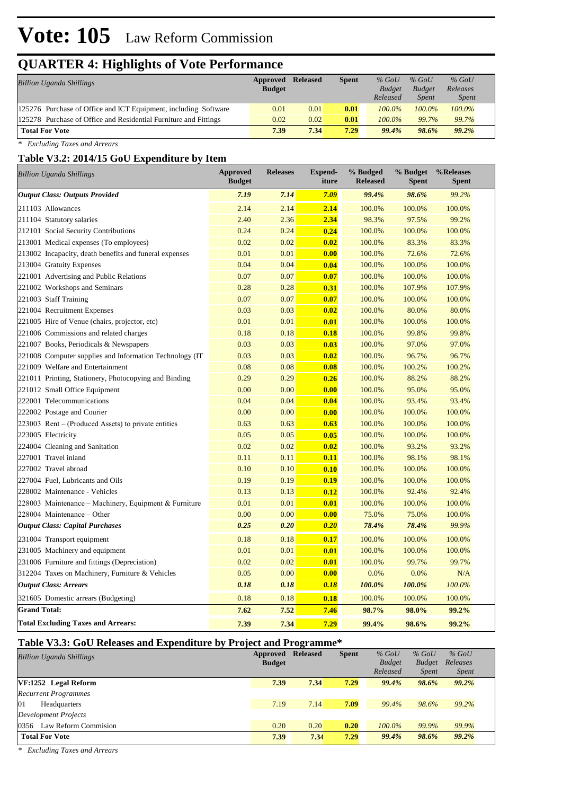# **Vote: 105** Law Reform Commission

# **QUARTER 4: Highlights of Vote Performance**

| Billion Uganda Shillings                                         | Approved<br><b>Budget</b> | <b>Released</b> | <b>Spent</b> | $%$ GoU<br><b>Budget</b><br>Released | $%$ GoU<br><b>Budget</b><br><b>Spent</b> | $%$ GoU<br>Releases<br><i>Spent</i> |
|------------------------------------------------------------------|---------------------------|-----------------|--------------|--------------------------------------|------------------------------------------|-------------------------------------|
| 125276 Purchase of Office and ICT Equipment, including Software  | 0.01                      | 0.01            | 0.01         | $100.0\%$                            | $100.0\%$                                | $100.0\%$                           |
| 125278 Purchase of Office and Residential Furniture and Fittings | 0.02                      | 0.02            | 0.01         | $100.0\%$                            | 99.7%                                    | 99.7%                               |
| <b>Total For Vote</b>                                            | 7.39                      | 7.34            | 7.29         | 99.4%                                | 98.6%                                    | 99.2%                               |

*\* Excluding Taxes and Arrears*

### **Table V3.2: 2014/15 GoU Expenditure by Item**

| <b>Billion Uganda Shillings</b>                          | <b>Approved</b><br><b>Budget</b> | <b>Releases</b> | <b>Expend-</b><br>iture | % Budged<br><b>Released</b> | % Budget<br><b>Spent</b> | %Releases<br><b>Spent</b> |
|----------------------------------------------------------|----------------------------------|-----------------|-------------------------|-----------------------------|--------------------------|---------------------------|
| <b>Output Class: Outputs Provided</b>                    | 7.19                             | 7.14            | 7.09                    | 99.4%                       | 98.6%                    | 99.2%                     |
| 211103 Allowances                                        | 2.14                             | 2.14            | 2.14                    | 100.0%                      | 100.0%                   | 100.0%                    |
| 211104 Statutory salaries                                | 2.40                             | 2.36            | 2.34                    | 98.3%                       | 97.5%                    | 99.2%                     |
| 212101 Social Security Contributions                     | 0.24                             | 0.24            | 0.24                    | 100.0%                      | 100.0%                   | 100.0%                    |
| 213001 Medical expenses (To employees)                   | 0.02                             | 0.02            | 0.02                    | 100.0%                      | 83.3%                    | 83.3%                     |
| 213002 Incapacity, death benefits and funeral expenses   | 0.01                             | 0.01            | 0.00                    | 100.0%                      | 72.6%                    | 72.6%                     |
| 213004 Gratuity Expenses                                 | 0.04                             | 0.04            | 0.04                    | 100.0%                      | 100.0%                   | 100.0%                    |
| 221001 Advertising and Public Relations                  | 0.07                             | 0.07            | 0.07                    | 100.0%                      | 100.0%                   | 100.0%                    |
| 221002 Workshops and Seminars                            | 0.28                             | 0.28            | 0.31                    | 100.0%                      | 107.9%                   | 107.9%                    |
| 221003 Staff Training                                    | 0.07                             | 0.07            | 0.07                    | 100.0%                      | 100.0%                   | 100.0%                    |
| 221004 Recruitment Expenses                              | 0.03                             | 0.03            | 0.02                    | 100.0%                      | 80.0%                    | 80.0%                     |
| 221005 Hire of Venue (chairs, projector, etc)            | 0.01                             | 0.01            | 0.01                    | 100.0%                      | 100.0%                   | 100.0%                    |
| 221006 Commissions and related charges                   | 0.18                             | 0.18            | 0.18                    | 100.0%                      | 99.8%                    | 99.8%                     |
| 221007 Books, Periodicals & Newspapers                   | 0.03                             | 0.03            | 0.03                    | 100.0%                      | 97.0%                    | 97.0%                     |
| 221008 Computer supplies and Information Technology (IT) | 0.03                             | 0.03            | 0.02                    | 100.0%                      | 96.7%                    | 96.7%                     |
| 221009 Welfare and Entertainment                         | 0.08                             | 0.08            | 0.08                    | 100.0%                      | 100.2%                   | 100.2%                    |
| 221011 Printing, Stationery, Photocopying and Binding    | 0.29                             | 0.29            | 0.26                    | 100.0%                      | 88.2%                    | 88.2%                     |
| 221012 Small Office Equipment                            | 0.00                             | 0.00            | 0.00                    | 100.0%                      | 95.0%                    | 95.0%                     |
| 222001 Telecommunications                                | 0.04                             | 0.04            | 0.04                    | 100.0%                      | 93.4%                    | 93.4%                     |
| 222002 Postage and Courier                               | 0.00                             | 0.00            | 0.00                    | 100.0%                      | 100.0%                   | 100.0%                    |
| $223003$ Rent – (Produced Assets) to private entities    | 0.63                             | 0.63            | 0.63                    | 100.0%                      | 100.0%                   | 100.0%                    |
| 223005 Electricity                                       | 0.05                             | 0.05            | 0.05                    | 100.0%                      | 100.0%                   | 100.0%                    |
| 224004 Cleaning and Sanitation                           | 0.02                             | 0.02            | 0.02                    | 100.0%                      | 93.2%                    | 93.2%                     |
| 227001 Travel inland                                     | 0.11                             | 0.11            | 0.11                    | 100.0%                      | 98.1%                    | 98.1%                     |
| 227002 Travel abroad                                     | 0.10                             | 0.10            | 0.10                    | 100.0%                      | 100.0%                   | 100.0%                    |
| 227004 Fuel, Lubricants and Oils                         | 0.19                             | 0.19            | 0.19                    | 100.0%                      | 100.0%                   | 100.0%                    |
| 228002 Maintenance - Vehicles                            | 0.13                             | 0.13            | 0.12                    | 100.0%                      | 92.4%                    | 92.4%                     |
| 228003 Maintenance – Machinery, Equipment & Furniture    | 0.01                             | 0.01            | 0.01                    | 100.0%                      | 100.0%                   | 100.0%                    |
| 228004 Maintenance - Other                               | 0.00                             | 0.00            | 0.00                    | 75.0%                       | 75.0%                    | 100.0%                    |
| <b>Output Class: Capital Purchases</b>                   | 0.25                             | 0.20            | 0.20                    | 78.4%                       | 78.4%                    | 99.9%                     |
| 231004 Transport equipment                               | 0.18                             | 0.18            | 0.17                    | 100.0%                      | 100.0%                   | 100.0%                    |
| 231005 Machinery and equipment                           | 0.01                             | 0.01            | 0.01                    | 100.0%                      | 100.0%                   | 100.0%                    |
| 231006 Furniture and fittings (Depreciation)             | 0.02                             | 0.02            | 0.01                    | 100.0%                      | 99.7%                    | 99.7%                     |
| 312204 Taxes on Machinery, Furniture & Vehicles          | 0.05                             | 0.00            | 0.00                    | 0.0%                        | 0.0%                     | N/A                       |
| <b>Output Class: Arrears</b>                             | 0.18                             | 0.18            | 0.18                    | 100.0%                      | 100.0%                   | 100.0%                    |
| 321605 Domestic arrears (Budgeting)                      | 0.18                             | 0.18            | 0.18                    | 100.0%                      | 100.0%                   | 100.0%                    |
| <b>Grand Total:</b>                                      | 7.62                             | 7.52            | 7.46                    | 98.7%                       | 98.0%                    | 99.2%                     |
| <b>Total Excluding Taxes and Arrears:</b>                | 7.39                             | 7.34            | 7.29                    | 99.4%                       | 98.6%                    | 99.2%                     |

#### **Table V3.3: GoU Releases and Expenditure by Project and Programme\***

| <b>Billion Uganda Shillings</b> | Approved<br><b>Budget</b> | <b>Released</b> | <b>Spent</b> | $%$ GoU<br><b>Budget</b><br>Released | $%$ GoU<br><b>Budget</b><br><i>Spent</i> | $%$ GoU<br>Releases<br><i>Spent</i> |
|---------------------------------|---------------------------|-----------------|--------------|--------------------------------------|------------------------------------------|-------------------------------------|
| VF:1252 Legal Reform            | 7.39                      | 7.34            | 7.29         | 99.4%                                | 98.6%                                    | 99.2%                               |
| <b>Recurrent Programmes</b>     |                           |                 |              |                                      |                                          |                                     |
| 01<br>Headquarters              | 7.19                      | 7.14            | 7.09         | 99.4%                                | 98.6%                                    | 99.2%                               |
| Development Projects            |                           |                 |              |                                      |                                          |                                     |
| 0356 Law Reform Commision       | 0.20                      | 0.20            | 0.20         | $100.0\%$                            | 99.9%                                    | 99.9%                               |
| <b>Total For Vote</b>           | 7.39                      | 7.34            | 7.29         | 99.4%                                | 98.6%                                    | 99.2%                               |

*\* Excluding Taxes and Arrears*